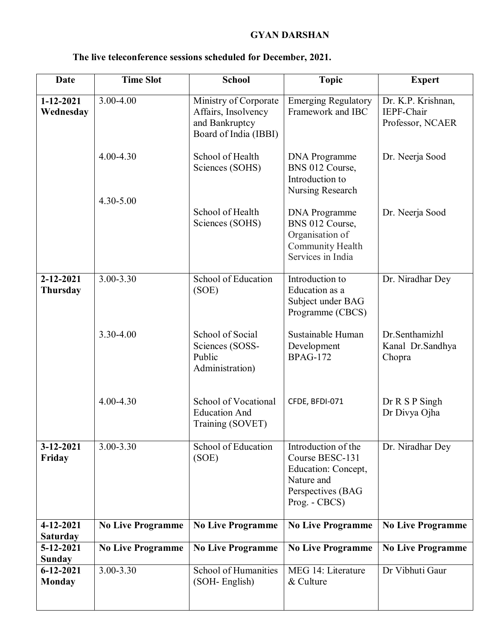## **GYAN DARSHAN**

| Date                               | <b>Time Slot</b>         | <b>School</b>                                                                           | <b>Topic</b>                                                                                                      | <b>Expert</b>                                        |
|------------------------------------|--------------------------|-----------------------------------------------------------------------------------------|-------------------------------------------------------------------------------------------------------------------|------------------------------------------------------|
| 1-12-2021<br>Wednesday             | $3.00 - 4.00$            | Ministry of Corporate<br>Affairs, Insolvency<br>and Bankruptcy<br>Board of India (IBBI) | Emerging Regulatory<br>Framework and IBC                                                                          | Dr. K.P. Krishnan,<br>IEPF-Chair<br>Professor, NCAER |
|                                    | $4.00 - 4.30$            | School of Health<br>Sciences (SOHS)                                                     | DNA Programme<br>BNS 012 Course,<br>Introduction to<br>Nursing Research                                           | Dr. Neerja Sood                                      |
|                                    | 4.30-5.00                | School of Health<br>Sciences (SOHS)                                                     | <b>DNA</b> Programme<br>BNS 012 Course,<br>Organisation of<br>Community Health<br>Services in India               | Dr. Neerja Sood                                      |
| $2 - 12 - 2021$<br><b>Thursday</b> | $3.00 - 3.30$            | School of Education<br>(SOE)                                                            | Introduction to<br>Education as a<br>Subject under BAG<br>Programme (CBCS)                                        | Dr. Niradhar Dey                                     |
|                                    | 3.30-4.00                | School of Social<br>Sciences (SOSS-<br>Public<br>Administration)                        | Sustainable Human<br>Development<br><b>BPAG-172</b>                                                               | Dr.Senthamizhl<br>Kanal Dr.Sandhya<br>Chopra         |
|                                    | 4.00-4.30                | School of Vocational<br><b>Education And</b><br>Training (SOVET)                        | CFDE, BFDI-071                                                                                                    | Dr R S P Singh<br>Dr Divya Ojha                      |
| 3-12-2021<br>Friday                | 3.00-3.30                | School of Education<br>(SOE)                                                            | Introduction of the<br>Course BESC-131<br>Education: Concept,<br>Nature and<br>Perspectives (BAG<br>Prog. - CBCS) | Dr. Niradhar Dey                                     |
| 4-12-2021<br><b>Saturday</b>       | <b>No Live Programme</b> | <b>No Live Programme</b>                                                                | <b>No Live Programme</b>                                                                                          | <b>No Live Programme</b>                             |
| 5-12-2021<br><b>Sunday</b>         | <b>No Live Programme</b> | <b>No Live Programme</b>                                                                | <b>No Live Programme</b>                                                                                          | <b>No Live Programme</b>                             |
| $6 - 12 - 2021$<br><b>Monday</b>   | 3.00-3.30                | School of Humanities<br>(SOH-English)                                                   | MEG 14: Literature<br>& Culture                                                                                   | Dr Vibhuti Gaur                                      |

## **The live teleconference sessions scheduled for December, 2021.**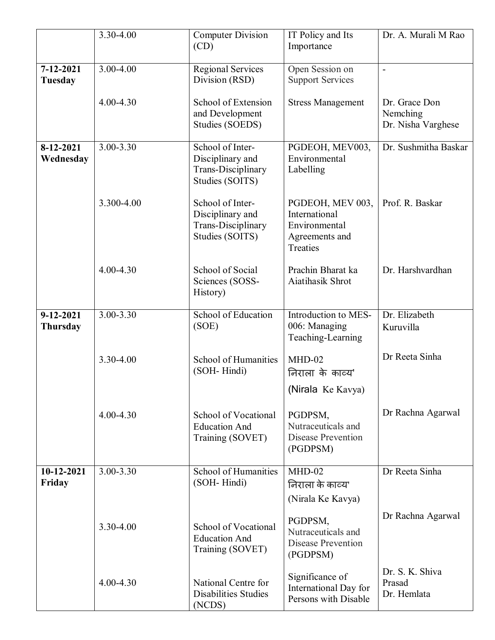|                                    | 3.30-4.00     | <b>Computer Division</b><br>(CD)                                              | IT Policy and Its<br>Importance                                                  | Dr. A. Murali M Rao                             |
|------------------------------------|---------------|-------------------------------------------------------------------------------|----------------------------------------------------------------------------------|-------------------------------------------------|
| 7-12-2021<br><b>Tuesday</b>        | 3.00-4.00     | <b>Regional Services</b><br>Division (RSD)                                    | Open Session on<br><b>Support Services</b>                                       | $\overline{a}$                                  |
|                                    | 4.00-4.30     | School of Extension<br>and Development<br>Studies (SOEDS)                     | <b>Stress Management</b>                                                         | Dr. Grace Don<br>Nemching<br>Dr. Nisha Varghese |
| 8-12-2021<br>Wednesday             | $3.00 - 3.30$ | School of Inter-<br>Disciplinary and<br>Trans-Disciplinary<br>Studies (SOITS) | PGDEOH, MEV003,<br>Environmental<br>Labelling                                    | Dr. Sushmitha Baskar                            |
|                                    | 3.300-4.00    | School of Inter-<br>Disciplinary and<br>Trans-Disciplinary<br>Studies (SOITS) | PGDEOH, MEV 003,<br>International<br>Environmental<br>Agreements and<br>Treaties | Prof. R. Baskar                                 |
|                                    | 4.00-4.30     | School of Social<br>Sciences (SOSS-<br>History)                               | Prachin Bharat ka<br>Aiatihasik Shrot                                            | Dr. Harshvardhan                                |
| $9 - 12 - 2021$<br><b>Thursday</b> | 3.00-3.30     | School of Education<br>(SOE)                                                  | Introduction to MES-<br>006: Managing<br>Teaching-Learning                       | Dr. Elizabeth<br>Kuruvilla                      |
|                                    | 3.30-4.00     | School of Humanities<br>(SOH-Hindi)                                           | $MHD-02$<br>निराला के काव्य'<br>(Nirala Ke Kavya)                                | Dr Reeta Sinha                                  |
|                                    | 4.00-4.30     | School of Vocational<br><b>Education And</b><br>Training (SOVET)              | PGDPSM,<br>Nutraceuticals and<br><b>Disease Prevention</b><br>(PGDPSM)           | Dr Rachna Agarwal                               |
| 10-12-2021<br>Friday               | 3.00-3.30     | <b>School of Humanities</b><br>(SOH-Hindi)                                    | $MHD-02$<br>निराला के काव्य'<br>(Nirala Ke Kavya)                                | Dr Reeta Sinha                                  |
|                                    | 3.30-4.00     | School of Vocational<br><b>Education And</b><br>Training (SOVET)              | PGDPSM,<br>Nutraceuticals and<br><b>Disease Prevention</b><br>(PGDPSM)           | Dr Rachna Agarwal                               |
|                                    | 4.00-4.30     | National Centre for<br><b>Disabilities Studies</b><br>(NCDS)                  | Significance of<br>International Day for<br>Persons with Disable                 | Dr. S. K. Shiva<br>Prasad<br>Dr. Hemlata        |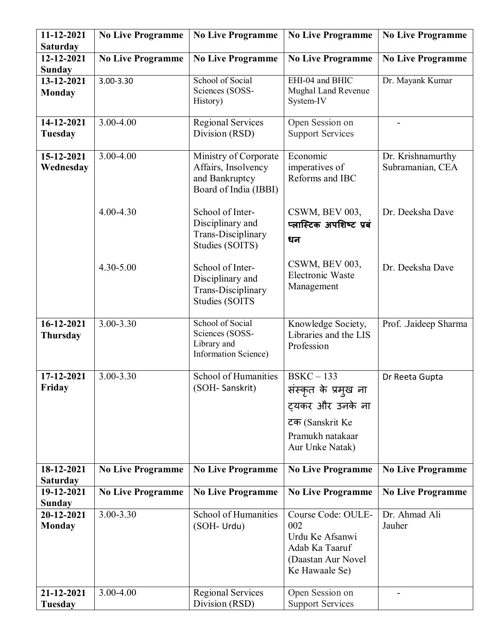| 11-12-2021      | <b>No Live Programme</b> | <b>No Live Programme</b>    | <b>No Live Programme</b> | <b>No Live Programme</b> |
|-----------------|--------------------------|-----------------------------|--------------------------|--------------------------|
| <b>Saturday</b> |                          |                             |                          |                          |
| 12-12-2021      | <b>No Live Programme</b> | <b>No Live Programme</b>    | <b>No Live Programme</b> | <b>No Live Programme</b> |
| <b>Sunday</b>   |                          |                             |                          |                          |
| 13-12-2021      | 3.00-3.30                | School of Social            | EHI-04 and BHIC          | Dr. Mayank Kumar         |
| <b>Monday</b>   |                          | Sciences (SOSS-             | Mughal Land Revenue      |                          |
|                 |                          | History)                    | System-IV                |                          |
| 14-12-2021      | 3.00-4.00                | <b>Regional Services</b>    | Open Session on          |                          |
| <b>Tuesday</b>  |                          | Division (RSD)              | <b>Support Services</b>  |                          |
|                 |                          |                             |                          |                          |
| 15-12-2021      | 3.00-4.00                | Ministry of Corporate       | Economic                 | Dr. Krishnamurthy        |
| Wednesday       |                          | Affairs, Insolvency         | imperatives of           | Subramanian, CEA         |
|                 |                          | and Bankruptcy              | Reforms and IBC          |                          |
|                 |                          | Board of India (IBBI)       |                          |                          |
|                 |                          |                             |                          |                          |
|                 | 4.00-4.30                | School of Inter-            | CSWM, BEV 003,           | Dr. Deeksha Dave         |
|                 |                          | Disciplinary and            | प्लास्टिक अपशिष्ट प्रबं  |                          |
|                 |                          | Trans-Disciplinary          | धन                       |                          |
|                 |                          | Studies (SOITS)             |                          |                          |
|                 |                          |                             | CSWM, BEV 003,           |                          |
|                 | 4.30-5.00                | School of Inter-            | Electronic Waste         | Dr. Deeksha Dave         |
|                 |                          | Disciplinary and            | Management               |                          |
|                 |                          | Trans-Disciplinary          |                          |                          |
|                 |                          | <b>Studies (SOITS</b>       |                          |                          |
| 16-12-2021      | $3.00 - 3.30$            | School of Social            | Knowledge Society,       | Prof. Jaideep Sharma     |
| <b>Thursday</b> |                          | Sciences (SOSS-             | Libraries and the LIS    |                          |
|                 |                          | Library and                 | Profession               |                          |
|                 |                          | <b>Information Science)</b> |                          |                          |
|                 |                          |                             |                          |                          |
| 17-12-2021      | 3.00-3.30                | <b>School of Humanities</b> | $BSKC - 133$             | Dr Reeta Gupta           |
| Friday          |                          | (SOH-Sanskrit)              | संस्कृत के प्रमुख ना     |                          |
|                 |                          |                             | ट्यकर और उनके ना         |                          |
|                 |                          |                             | टक (Sanskrit Ke          |                          |
|                 |                          |                             | Pramukh natakaar         |                          |
|                 |                          |                             |                          |                          |
|                 |                          |                             | Aur Unke Natak)          |                          |
| 18-12-2021      | <b>No Live Programme</b> | <b>No Live Programme</b>    | <b>No Live Programme</b> | <b>No Live Programme</b> |
| <b>Saturday</b> |                          |                             |                          |                          |
| 19-12-2021      | <b>No Live Programme</b> | <b>No Live Programme</b>    | <b>No Live Programme</b> | <b>No Live Programme</b> |
| <b>Sunday</b>   |                          |                             |                          |                          |
| 20-12-2021      | 3.00-3.30                | School of Humanities        | Course Code: OULE-       | Dr. Ahmad Ali            |
| <b>Monday</b>   |                          | (SOH- Urdu)                 | 002                      | Jauher                   |
|                 |                          |                             | Urdu Ke Afsanwi          |                          |
|                 |                          |                             | Adab Ka Taaruf           |                          |
|                 |                          |                             | (Daastan Aur Novel       |                          |
|                 |                          |                             | Ke Hawaale Se)           |                          |
|                 |                          |                             |                          |                          |
| 21-12-2021      | 3.00-4.00                | <b>Regional Services</b>    | Open Session on          |                          |
| Tuesday         |                          | Division (RSD)              | <b>Support Services</b>  |                          |